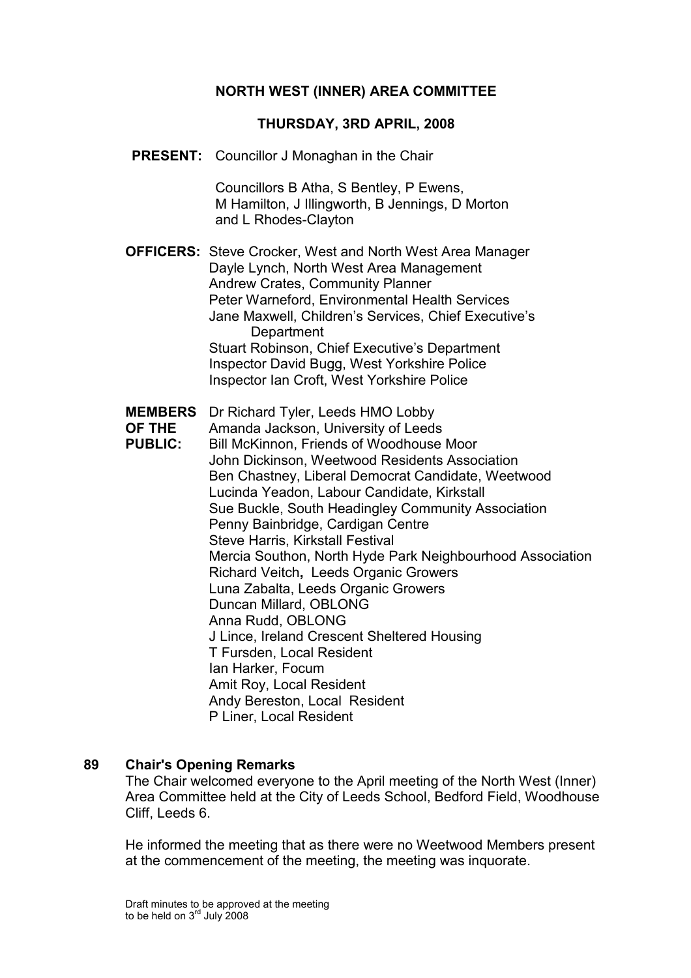## NORTH WEST (INNER) AREA COMMITTEE

#### THURSDAY, 3RD APRIL, 2008

PRESENT: Councillor J Monaghan in the Chair

 Councillors B Atha, S Bentley, P Ewens, M Hamilton, J Illingworth, B Jennings, D Morton and L Rhodes-Clayton

OFFICERS: Steve Crocker, West and North West Area Manager Dayle Lynch, North West Area Management Andrew Crates, Community Planner Peter Warneford, Environmental Health Services Jane Maxwell, Children's Services, Chief Executive's **Department**  Stuart Robinson, Chief Executive's Department Inspector David Bugg, West Yorkshire Police Inspector Ian Croft, West Yorkshire Police

- MEMBERS Dr Richard Tyler, Leeds HMO Lobby
- OF THE Amanda Jackson, University of Leeds
- PUBLIC: Bill McKinnon, Friends of Woodhouse Moor John Dickinson, Weetwood Residents Association Ben Chastney, Liberal Democrat Candidate, Weetwood Lucinda Yeadon, Labour Candidate, Kirkstall Sue Buckle, South Headingley Community Association Penny Bainbridge, Cardigan Centre Steve Harris, Kirkstall Festival Mercia Southon, North Hyde Park Neighbourhood Association Richard Veitch, Leeds Organic Growers Luna Zabalta, Leeds Organic Growers Duncan Millard, OBLONG Anna Rudd, OBLONG J Lince, Ireland Crescent Sheltered Housing T Fursden, Local Resident Ian Harker, Focum Amit Roy, Local Resident Andy Bereston, Local Resident P Liner, Local Resident

#### 89 Chair's Opening Remarks

The Chair welcomed everyone to the April meeting of the North West (Inner) Area Committee held at the City of Leeds School, Bedford Field, Woodhouse Cliff, Leeds 6.

He informed the meeting that as there were no Weetwood Members present at the commencement of the meeting, the meeting was inquorate.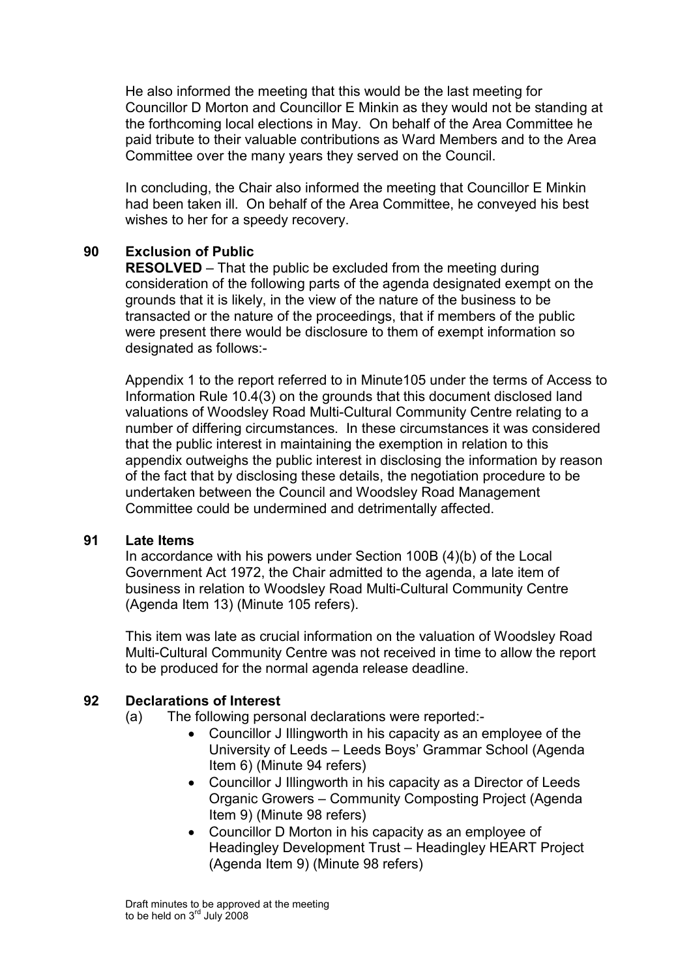He also informed the meeting that this would be the last meeting for Councillor D Morton and Councillor E Minkin as they would not be standing at the forthcoming local elections in May. On behalf of the Area Committee he paid tribute to their valuable contributions as Ward Members and to the Area Committee over the many years they served on the Council.

In concluding, the Chair also informed the meeting that Councillor E Minkin had been taken ill. On behalf of the Area Committee, he conveyed his best wishes to her for a speedy recovery.

## 90 Exclusion of Public

RESOLVED – That the public be excluded from the meeting during consideration of the following parts of the agenda designated exempt on the grounds that it is likely, in the view of the nature of the business to be transacted or the nature of the proceedings, that if members of the public were present there would be disclosure to them of exempt information so designated as follows:-

Appendix 1 to the report referred to in Minute105 under the terms of Access to Information Rule 10.4(3) on the grounds that this document disclosed land valuations of Woodsley Road Multi-Cultural Community Centre relating to a number of differing circumstances. In these circumstances it was considered that the public interest in maintaining the exemption in relation to this appendix outweighs the public interest in disclosing the information by reason of the fact that by disclosing these details, the negotiation procedure to be undertaken between the Council and Woodsley Road Management Committee could be undermined and detrimentally affected.

### 91 Late Items

In accordance with his powers under Section 100B (4)(b) of the Local Government Act 1972, the Chair admitted to the agenda, a late item of business in relation to Woodsley Road Multi-Cultural Community Centre (Agenda Item 13) (Minute 105 refers).

This item was late as crucial information on the valuation of Woodsley Road Multi-Cultural Community Centre was not received in time to allow the report to be produced for the normal agenda release deadline.

# 92 Declarations of Interest

- (a) The following personal declarations were reported:-
	- Councillor J Illingworth in his capacity as an employee of the University of Leeds – Leeds Boys' Grammar School (Agenda Item 6) (Minute 94 refers)
	- Councillor J Illingworth in his capacity as a Director of Leeds Organic Growers – Community Composting Project (Agenda Item 9) (Minute 98 refers)
	- Councillor D Morton in his capacity as an employee of Headingley Development Trust – Headingley HEART Project (Agenda Item 9) (Minute 98 refers)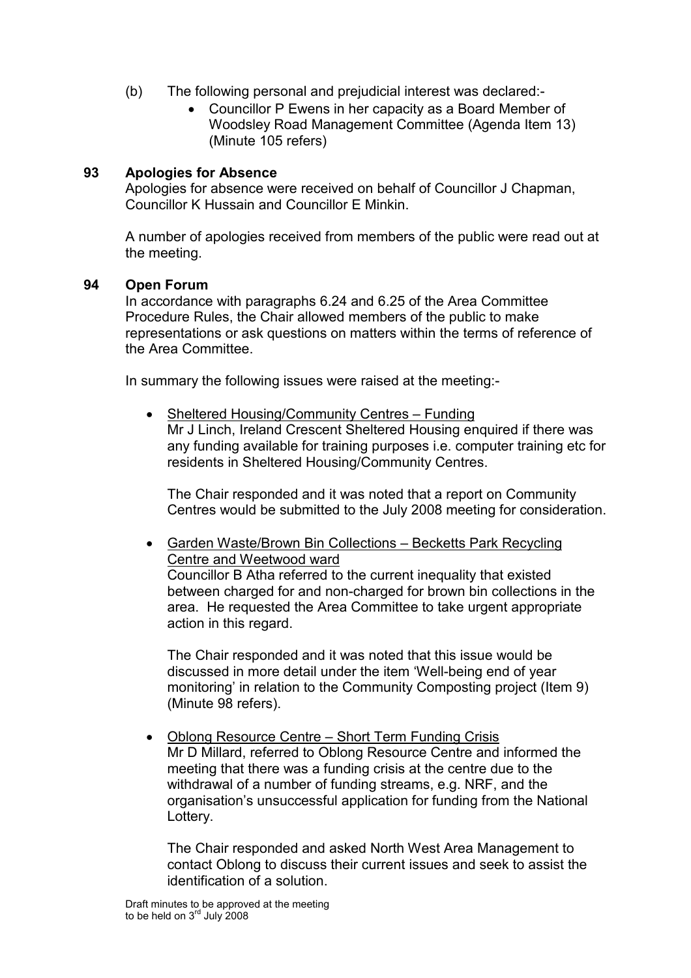- (b) The following personal and prejudicial interest was declared:-
	- Councillor P Ewens in her capacity as a Board Member of Woodsley Road Management Committee (Agenda Item 13) (Minute 105 refers)

## 93 Apologies for Absence

Apologies for absence were received on behalf of Councillor J Chapman, Councillor K Hussain and Councillor E Minkin.

A number of apologies received from members of the public were read out at the meeting.

### 94 Open Forum

In accordance with paragraphs 6.24 and 6.25 of the Area Committee Procedure Rules, the Chair allowed members of the public to make representations or ask questions on matters within the terms of reference of the Area Committee.

In summary the following issues were raised at the meeting:-

• Sheltered Housing/Community Centres – Funding Mr J Linch, Ireland Crescent Sheltered Housing enquired if there was any funding available for training purposes i.e. computer training etc for residents in Sheltered Housing/Community Centres.

The Chair responded and it was noted that a report on Community Centres would be submitted to the July 2008 meeting for consideration.

• Garden Waste/Brown Bin Collections – Becketts Park Recycling Centre and Weetwood ward Councillor B Atha referred to the current inequality that existed between charged for and non-charged for brown bin collections in the area. He requested the Area Committee to take urgent appropriate action in this regard.

The Chair responded and it was noted that this issue would be discussed in more detail under the item 'Well-being end of year monitoring' in relation to the Community Composting project (Item 9) (Minute 98 refers).

• Oblong Resource Centre – Short Term Funding Crisis Mr D Millard, referred to Oblong Resource Centre and informed the meeting that there was a funding crisis at the centre due to the withdrawal of a number of funding streams, e.g. NRF, and the organisation's unsuccessful application for funding from the National Lottery.

The Chair responded and asked North West Area Management to contact Oblong to discuss their current issues and seek to assist the identification of a solution.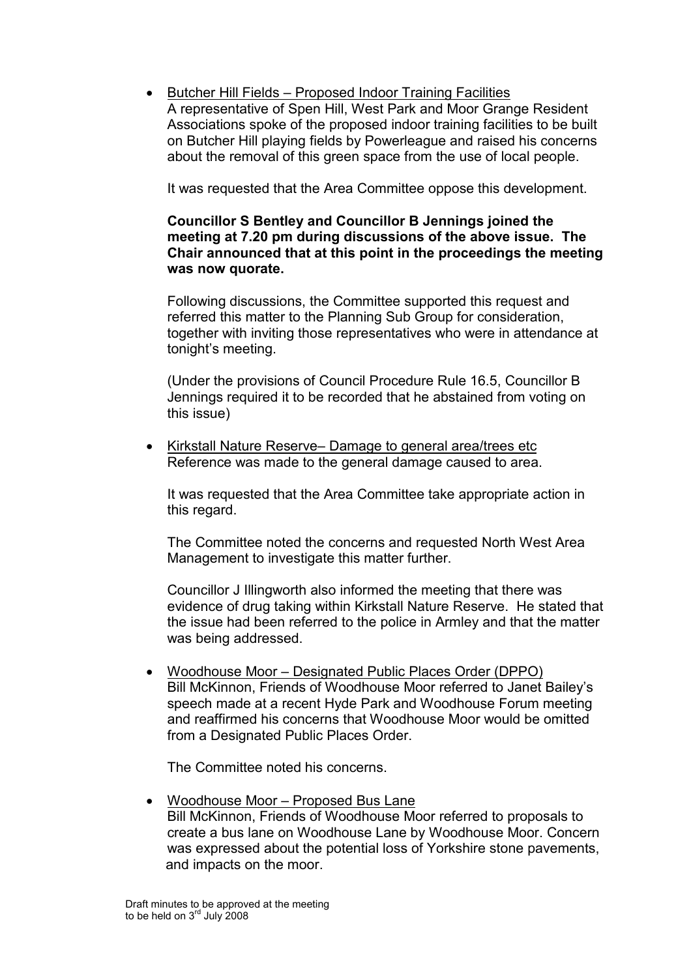• Butcher Hill Fields – Proposed Indoor Training Facilities A representative of Spen Hill, West Park and Moor Grange Resident Associations spoke of the proposed indoor training facilities to be built on Butcher Hill playing fields by Powerleague and raised his concerns about the removal of this green space from the use of local people.

It was requested that the Area Committee oppose this development.

### Councillor S Bentley and Councillor B Jennings joined the meeting at 7.20 pm during discussions of the above issue. The Chair announced that at this point in the proceedings the meeting was now quorate.

Following discussions, the Committee supported this request and referred this matter to the Planning Sub Group for consideration, together with inviting those representatives who were in attendance at tonight's meeting.

(Under the provisions of Council Procedure Rule 16.5, Councillor B Jennings required it to be recorded that he abstained from voting on this issue)

• Kirkstall Nature Reserve– Damage to general area/trees etc Reference was made to the general damage caused to area.

It was requested that the Area Committee take appropriate action in this regard.

The Committee noted the concerns and requested North West Area Management to investigate this matter further.

Councillor J Illingworth also informed the meeting that there was evidence of drug taking within Kirkstall Nature Reserve. He stated that the issue had been referred to the police in Armley and that the matter was being addressed.

• Woodhouse Moor – Designated Public Places Order (DPPO) Bill McKinnon, Friends of Woodhouse Moor referred to Janet Bailey's speech made at a recent Hyde Park and Woodhouse Forum meeting and reaffirmed his concerns that Woodhouse Moor would be omitted from a Designated Public Places Order.

The Committee noted his concerns.

• Woodhouse Moor – Proposed Bus Lane Bill McKinnon, Friends of Woodhouse Moor referred to proposals to create a bus lane on Woodhouse Lane by Woodhouse Moor. Concern was expressed about the potential loss of Yorkshire stone pavements, and impacts on the moor.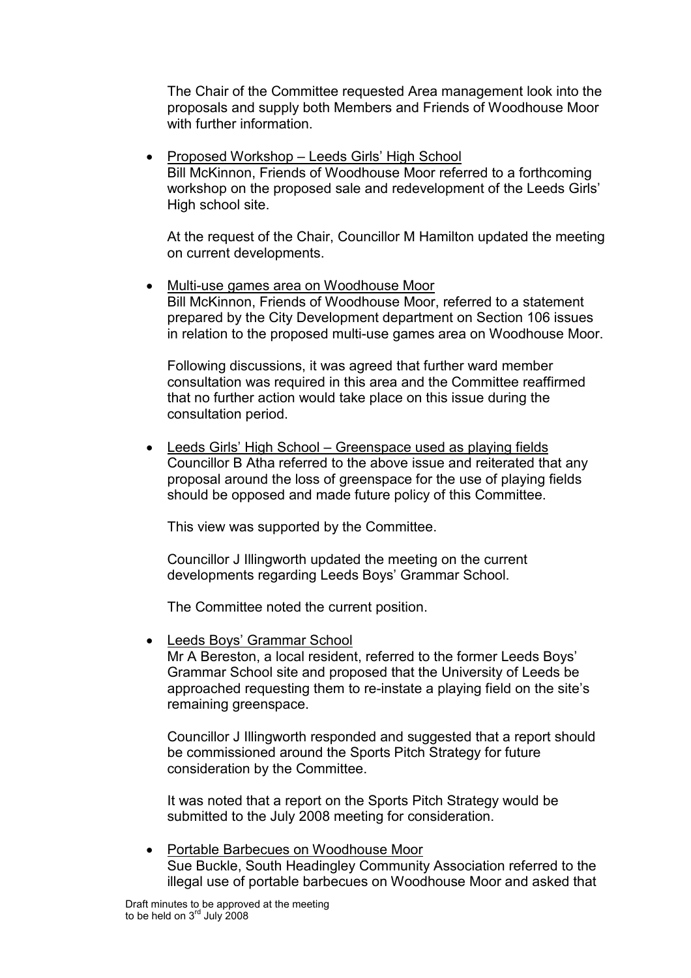The Chair of the Committee requested Area management look into the proposals and supply both Members and Friends of Woodhouse Moor with further information.

• Proposed Workshop – Leeds Girls' High School Bill McKinnon, Friends of Woodhouse Moor referred to a forthcoming workshop on the proposed sale and redevelopment of the Leeds Girls' High school site.

At the request of the Chair, Councillor M Hamilton updated the meeting on current developments.

• Multi-use games area on Woodhouse Moor Bill McKinnon, Friends of Woodhouse Moor, referred to a statement prepared by the City Development department on Section 106 issues in relation to the proposed multi-use games area on Woodhouse Moor.

Following discussions, it was agreed that further ward member consultation was required in this area and the Committee reaffirmed that no further action would take place on this issue during the consultation period.

• Leeds Girls' High School – Greenspace used as playing fields Councillor B Atha referred to the above issue and reiterated that any proposal around the loss of greenspace for the use of playing fields should be opposed and made future policy of this Committee.

This view was supported by the Committee.

Councillor J Illingworth updated the meeting on the current developments regarding Leeds Boys' Grammar School.

The Committee noted the current position.

• Leeds Boys' Grammar School

Mr A Bereston, a local resident, referred to the former Leeds Boys' Grammar School site and proposed that the University of Leeds be approached requesting them to re-instate a playing field on the site's remaining greenspace.

Councillor J Illingworth responded and suggested that a report should be commissioned around the Sports Pitch Strategy for future consideration by the Committee.

It was noted that a report on the Sports Pitch Strategy would be submitted to the July 2008 meeting for consideration.

• Portable Barbecues on Woodhouse Moor Sue Buckle, South Headingley Community Association referred to the illegal use of portable barbecues on Woodhouse Moor and asked that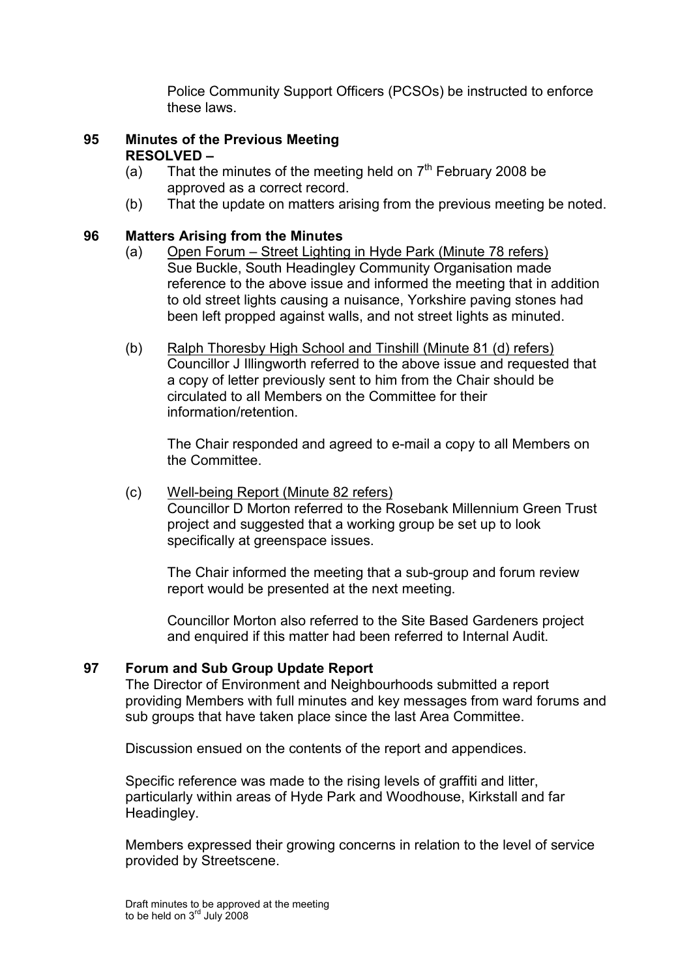Police Community Support Officers (PCSOs) be instructed to enforce these laws.

### 95 Minutes of the Previous Meeting RESOLVED –

- (a) That the minutes of the meeting held on  $7<sup>th</sup>$  February 2008 be approved as a correct record.
- (b) That the update on matters arising from the previous meeting be noted.

## 96 Matters Arising from the Minutes

- (a) Open Forum Street Lighting in Hyde Park (Minute 78 refers) Sue Buckle, South Headingley Community Organisation made reference to the above issue and informed the meeting that in addition to old street lights causing a nuisance, Yorkshire paving stones had been left propped against walls, and not street lights as minuted.
- (b) Ralph Thoresby High School and Tinshill (Minute 81 (d) refers) Councillor J Illingworth referred to the above issue and requested that a copy of letter previously sent to him from the Chair should be circulated to all Members on the Committee for their information/retention.

The Chair responded and agreed to e-mail a copy to all Members on the Committee.

### (c) Well-being Report (Minute 82 refers) Councillor D Morton referred to the Rosebank Millennium Green Trust project and suggested that a working group be set up to look specifically at greenspace issues.

 The Chair informed the meeting that a sub-group and forum review report would be presented at the next meeting.

 Councillor Morton also referred to the Site Based Gardeners project and enquired if this matter had been referred to Internal Audit.

### 97 Forum and Sub Group Update Report

The Director of Environment and Neighbourhoods submitted a report providing Members with full minutes and key messages from ward forums and sub groups that have taken place since the last Area Committee.

Discussion ensued on the contents of the report and appendices.

Specific reference was made to the rising levels of graffiti and litter, particularly within areas of Hyde Park and Woodhouse, Kirkstall and far Headingley.

Members expressed their growing concerns in relation to the level of service provided by Streetscene.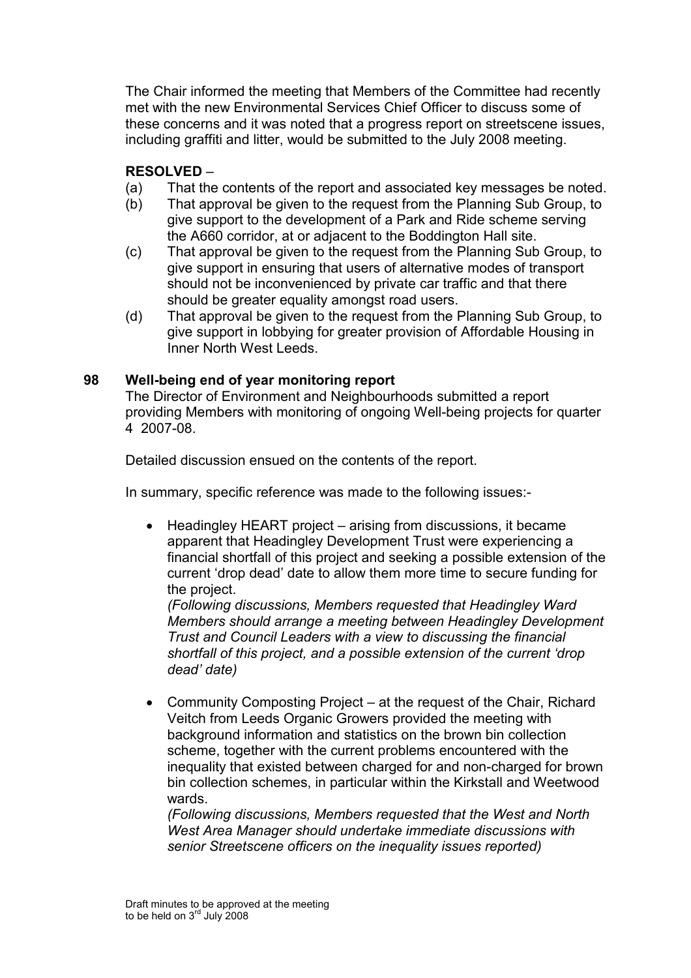The Chair informed the meeting that Members of the Committee had recently met with the new Environmental Services Chief Officer to discuss some of these concerns and it was noted that a progress report on streetscene issues, including graffiti and litter, would be submitted to the July 2008 meeting.

## RESOLVED –

- (a) That the contents of the report and associated key messages be noted.
- (b) That approval be given to the request from the Planning Sub Group, to give support to the development of a Park and Ride scheme serving the A660 corridor, at or adjacent to the Boddington Hall site.
- (c) That approval be given to the request from the Planning Sub Group, to give support in ensuring that users of alternative modes of transport should not be inconvenienced by private car traffic and that there should be greater equality amongst road users.
- (d) That approval be given to the request from the Planning Sub Group, to give support in lobbying for greater provision of Affordable Housing in Inner North West Leeds.

### 98 Well-being end of year monitoring report

The Director of Environment and Neighbourhoods submitted a report providing Members with monitoring of ongoing Well-being projects for quarter 4 2007-08.

Detailed discussion ensued on the contents of the report.

In summary, specific reference was made to the following issues:-

• Headingley HEART project – arising from discussions, it became apparent that Headingley Development Trust were experiencing a financial shortfall of this project and seeking a possible extension of the current 'drop dead' date to allow them more time to secure funding for the project.

(Following discussions, Members requested that Headingley Ward Members should arrange a meeting between Headingley Development Trust and Council Leaders with a view to discussing the financial shortfall of this project, and a possible extension of the current 'drop dead' date)

• Community Composting Project – at the request of the Chair, Richard Veitch from Leeds Organic Growers provided the meeting with background information and statistics on the brown bin collection scheme, together with the current problems encountered with the inequality that existed between charged for and non-charged for brown bin collection schemes, in particular within the Kirkstall and Weetwood wards.

(Following discussions, Members requested that the West and North West Area Manager should undertake immediate discussions with senior Streetscene officers on the inequality issues reported)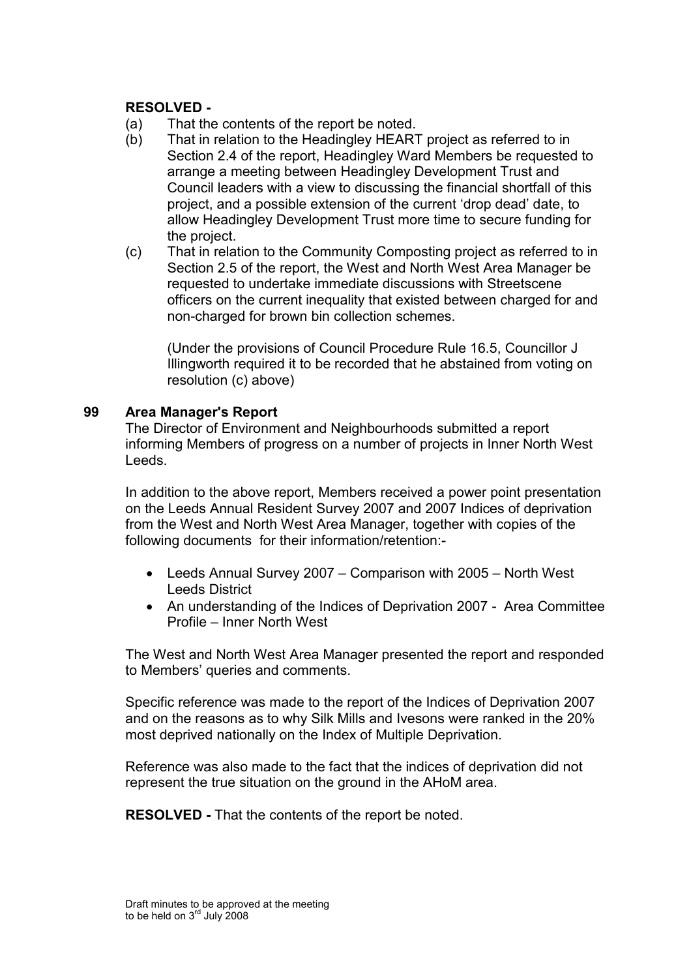### RESOLVED -

- (a) That the contents of the report be noted.
- (b) That in relation to the Headingley HEART project as referred to in Section 2.4 of the report, Headingley Ward Members be requested to arrange a meeting between Headingley Development Trust and Council leaders with a view to discussing the financial shortfall of this project, and a possible extension of the current 'drop dead' date, to allow Headingley Development Trust more time to secure funding for the project.
- (c) That in relation to the Community Composting project as referred to in Section 2.5 of the report, the West and North West Area Manager be requested to undertake immediate discussions with Streetscene officers on the current inequality that existed between charged for and non-charged for brown bin collection schemes.

 (Under the provisions of Council Procedure Rule 16.5, Councillor J Illingworth required it to be recorded that he abstained from voting on resolution (c) above)

#### 99 Area Manager's Report

The Director of Environment and Neighbourhoods submitted a report informing Members of progress on a number of projects in Inner North West Leeds.

In addition to the above report, Members received a power point presentation on the Leeds Annual Resident Survey 2007 and 2007 Indices of deprivation from the West and North West Area Manager, together with copies of the following documents for their information/retention:-

- Leeds Annual Survey 2007 Comparison with 2005 North West Leeds District
- An understanding of the Indices of Deprivation 2007 Area Committee Profile – Inner North West

The West and North West Area Manager presented the report and responded to Members' queries and comments.

Specific reference was made to the report of the Indices of Deprivation 2007 and on the reasons as to why Silk Mills and Ivesons were ranked in the 20% most deprived nationally on the Index of Multiple Deprivation.

Reference was also made to the fact that the indices of deprivation did not represent the true situation on the ground in the AHoM area.

RESOLVED - That the contents of the report be noted.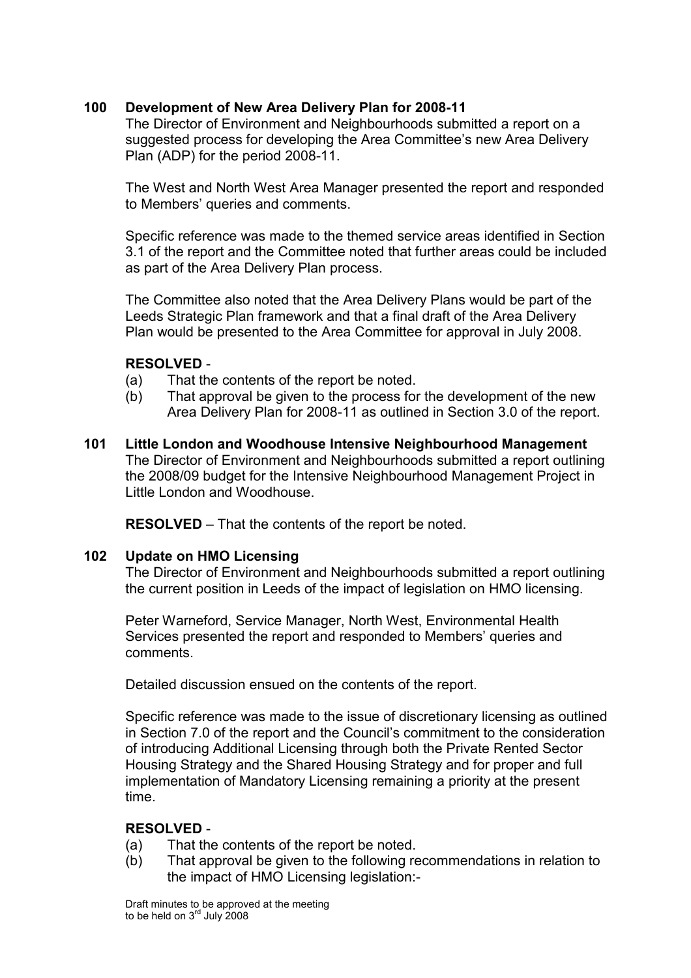## 100 Development of New Area Delivery Plan for 2008-11

The Director of Environment and Neighbourhoods submitted a report on a suggested process for developing the Area Committee's new Area Delivery Plan (ADP) for the period 2008-11.

The West and North West Area Manager presented the report and responded to Members' queries and comments.

Specific reference was made to the themed service areas identified in Section 3.1 of the report and the Committee noted that further areas could be included as part of the Area Delivery Plan process.

The Committee also noted that the Area Delivery Plans would be part of the Leeds Strategic Plan framework and that a final draft of the Area Delivery Plan would be presented to the Area Committee for approval in July 2008.

## RESOLVED -

- (a) That the contents of the report be noted.
- (b) That approval be given to the process for the development of the new Area Delivery Plan for 2008-11 as outlined in Section 3.0 of the report.
- 101 Little London and Woodhouse Intensive Neighbourhood Management The Director of Environment and Neighbourhoods submitted a report outlining the 2008/09 budget for the Intensive Neighbourhood Management Project in Little London and Woodhouse.

RESOLVED – That the contents of the report be noted.

### 102 Update on HMO Licensing

The Director of Environment and Neighbourhoods submitted a report outlining the current position in Leeds of the impact of legislation on HMO licensing.

Peter Warneford, Service Manager, North West, Environmental Health Services presented the report and responded to Members' queries and comments.

Detailed discussion ensued on the contents of the report.

Specific reference was made to the issue of discretionary licensing as outlined in Section 7.0 of the report and the Council's commitment to the consideration of introducing Additional Licensing through both the Private Rented Sector Housing Strategy and the Shared Housing Strategy and for proper and full implementation of Mandatory Licensing remaining a priority at the present time.

# RESOLVED -

- (a) That the contents of the report be noted.
- (b) That approval be given to the following recommendations in relation to the impact of HMO Licensing legislation:-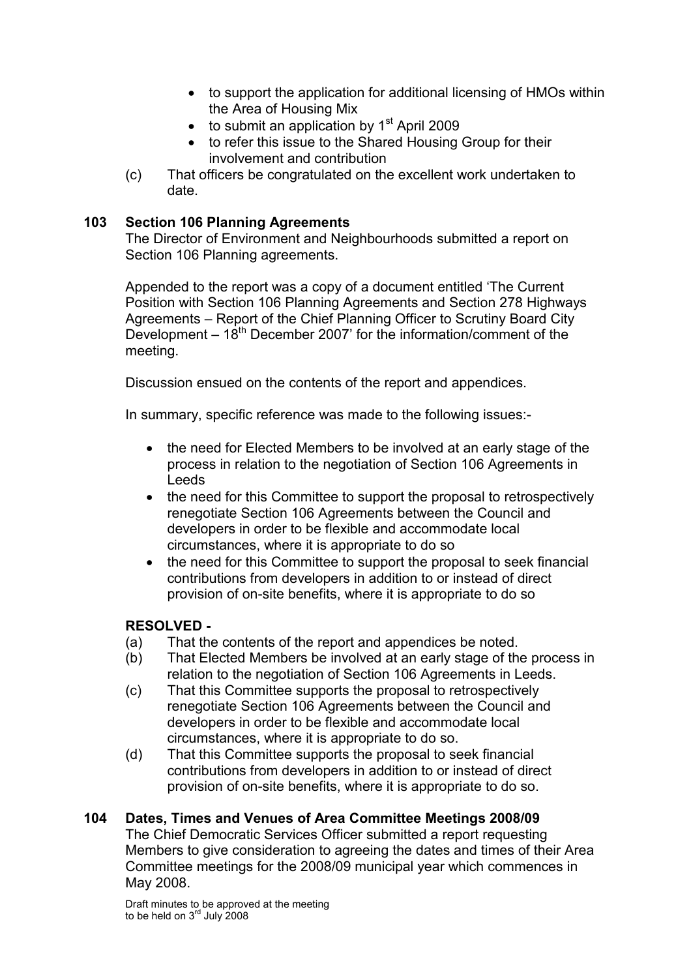- to support the application for additional licensing of HMOs within the Area of Housing Mix
- $\bullet$  to submit an application by 1<sup>st</sup> April 2009
- to refer this issue to the Shared Housing Group for their involvement and contribution
- (c) That officers be congratulated on the excellent work undertaken to date.

## 103 Section 106 Planning Agreements

The Director of Environment and Neighbourhoods submitted a report on Section 106 Planning agreements.

Appended to the report was a copy of a document entitled 'The Current Position with Section 106 Planning Agreements and Section 278 Highways Agreements – Report of the Chief Planning Officer to Scrutiny Board City Development  $-18^{th}$  December 2007' for the information/comment of the meeting.

Discussion ensued on the contents of the report and appendices.

In summary, specific reference was made to the following issues:-

- the need for Elected Members to be involved at an early stage of the process in relation to the negotiation of Section 106 Agreements in Leeds
- the need for this Committee to support the proposal to retrospectively renegotiate Section 106 Agreements between the Council and developers in order to be flexible and accommodate local circumstances, where it is appropriate to do so
- the need for this Committee to support the proposal to seek financial contributions from developers in addition to or instead of direct provision of on-site benefits, where it is appropriate to do so

# RESOLVED -

- (a) That the contents of the report and appendices be noted.
- (b) That Elected Members be involved at an early stage of the process in relation to the negotiation of Section 106 Agreements in Leeds.
- (c) That this Committee supports the proposal to retrospectively renegotiate Section 106 Agreements between the Council and developers in order to be flexible and accommodate local circumstances, where it is appropriate to do so.
- (d) That this Committee supports the proposal to seek financial contributions from developers in addition to or instead of direct provision of on-site benefits, where it is appropriate to do so.

# 104 Dates, Times and Venues of Area Committee Meetings 2008/09

The Chief Democratic Services Officer submitted a report requesting Members to give consideration to agreeing the dates and times of their Area Committee meetings for the 2008/09 municipal year which commences in May 2008.

Draft minutes to be approved at the meeting to be held on  $3^{\text{rd}}$  July 2008